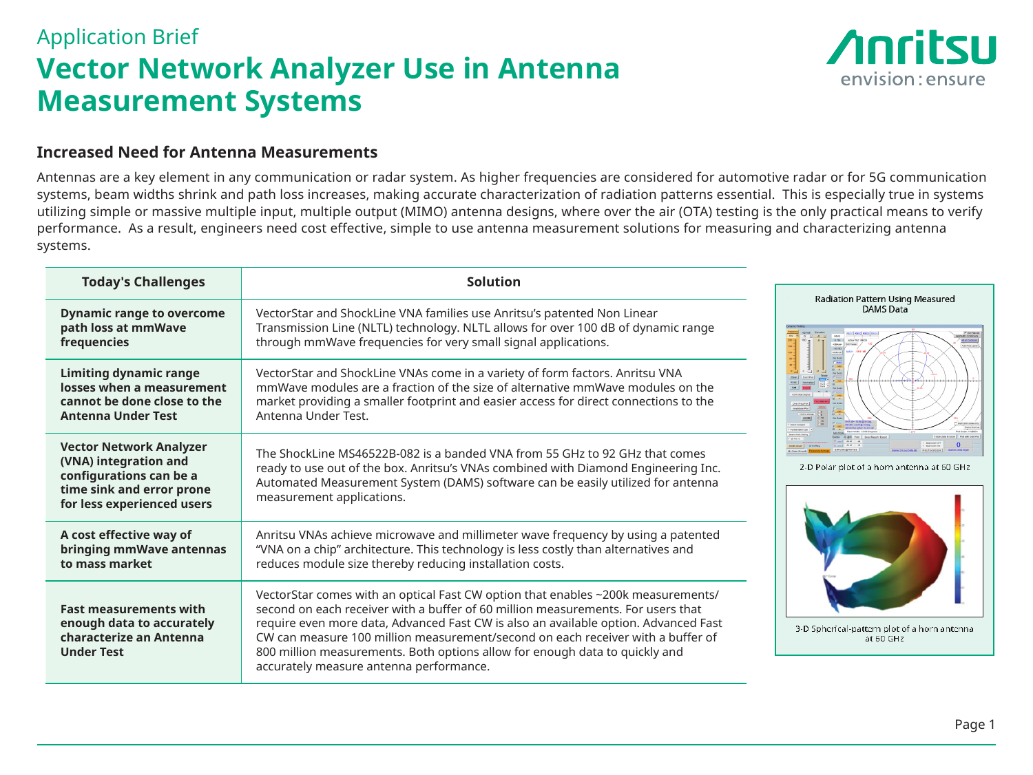## Application Brief **Vector Network Analyzer Use in Antenna Measurement Systems**



leasured

ia at 60 GHz

iorn antenna

## **Increased Need for Antenna Measurements**

Antennas are a key element in any communication or radar system. As higher frequencies are considered for automotive radar or for 5G communication systems, beam widths shrink and path loss increases, making accurate characterization of radiation patterns essential. This is especially true in systems utilizing simple or massive multiple input, multiple output (MIMO) antenna designs, where over the air (OTA) testing is the only practical means to verify performance. As a result, engineers need cost effective, simple to use antenna measurement solutions for measuring and characterizing antenna systems.

| <b>Today's Challenges</b>                                                                                                                     | Solution                                                                                                                                                                                                                                                                                                                                                                                                                                                                 |                                                                                             |
|-----------------------------------------------------------------------------------------------------------------------------------------------|--------------------------------------------------------------------------------------------------------------------------------------------------------------------------------------------------------------------------------------------------------------------------------------------------------------------------------------------------------------------------------------------------------------------------------------------------------------------------|---------------------------------------------------------------------------------------------|
| <b>Dynamic range to overcome</b><br>path loss at mmWave<br>frequencies                                                                        | VectorStar and ShockLine VNA families use Anritsu's patented Non Linear<br>Transmission Line (NLTL) technology. NLTL allows for over 100 dB of dynamic range<br>through mmWave frequencies for very small signal applications.                                                                                                                                                                                                                                           | Radiation Pattern Using M<br><b>DAMS</b> Data<br>$-35.93$<br>2-D Polar plot of a horn anten |
| <b>Limiting dynamic range</b><br>losses when a measurement<br>cannot be done close to the<br><b>Antenna Under Test</b>                        | VectorStar and ShockLine VNAs come in a variety of form factors. Anritsu VNA<br>mmWave modules are a fraction of the size of alternative mmWave modules on the<br>market providing a smaller footprint and easier access for direct connections to the<br>Antenna Under Test.                                                                                                                                                                                            |                                                                                             |
| <b>Vector Network Analyzer</b><br>(VNA) integration and<br>configurations can be a<br>time sink and error prone<br>for less experienced users | The ShockLine MS46522B-082 is a banded VNA from 55 GHz to 92 GHz that comes<br>ready to use out of the box. Anritsu's VNAs combined with Diamond Engineering Inc.<br>Automated Measurement System (DAMS) software can be easily utilized for antenna<br>measurement applications.                                                                                                                                                                                        |                                                                                             |
| A cost effective way of<br>bringing mmWave antennas<br>to mass market                                                                         | Anritsu VNAs achieve microwave and millimeter wave frequency by using a patented<br>"VNA on a chip" architecture. This technology is less costly than alternatives and<br>reduces module size thereby reducing installation costs.                                                                                                                                                                                                                                       |                                                                                             |
| <b>Fast measurements with</b><br>enough data to accurately<br>characterize an Antenna<br><b>Under Test</b>                                    | VectorStar comes with an optical Fast CW option that enables ~200k measurements/<br>second on each receiver with a buffer of 60 million measurements. For users that<br>require even more data, Advanced Fast CW is also an available option. Advanced Fast<br>CW can measure 100 million measurement/second on each receiver with a buffer of<br>800 million measurements. Both options allow for enough data to quickly and<br>accurately measure antenna performance. | 3-D Spherical-pattern plot of a<br>at 60 GHz                                                |